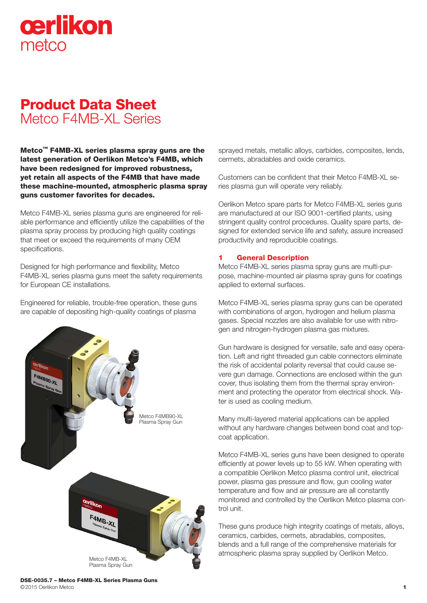# cerlikon metco

# Product Data Sheet Metco F4MB-XL Series

Metco™ F4MB-XL series plasma spray guns are the latest generation of Oerlikon Metco's F4MB, which have been redesigned for improved robustness, yet retain all aspects of the F4MB that have made these machine-mounted, atmospheric plasma spray guns customer favorites for decades.

Metco F4MB-XL series plasma guns are engineered for reliable performance and efficiently utilize the capabilities of the plasma spray process by producing high quality coatings that meet or exceed the requirements of many OEM specifications.

Designed for high performance and flexibility, Metco F4MB-XL series plasma guns meet the safety requirements for European CE installations.

Engineered for reliable, trouble-free operation, these guns are capable of depositing high-quality coatings of plasma



sprayed metals, metallic alloys, carbides, composites, lends, cermets, abradables and oxide ceramics.

Customers can be confident that their Metco F4MB-XL series plasma gun will operate very reliably.

Oerlikon Metco spare parts for Metco F4MB-XL series guns are manufactured at our ISO 9001-certified plants, using stringent quality control procedures. Quality spare parts, designed for extended service life and safety, assure increased productivity and reproducible coatings.

# 1 General Description

Metco F4MB-XL series plasma spray guns are multi-purpose, machine-mounted air plasma spray guns for coatings applied to external surfaces.

Metco F4MB-XL series plasma spray guns can be operated with combinations of argon, hydrogen and helium plasma gases. Special nozzles are also available for use with nitrogen and nitrogen-hydrogen plasma gas mixtures.

Gun hardware is designed for versatile, safe and easy operation. Left and right threaded gun cable connectors eliminate the risk of accidental polarity reversal that could cause severe gun damage. Connections are enclosed within the gun cover, thus isolating them from the thermal spray environment and protecting the operator from electrical shock. Water is used as cooling medium.

Many multi-layered material applications can be applied without any hardware changes between bond coat and topcoat application.

Metco F4MB-XL series guns have been designed to operate efficiently at power levels up to 55 kW. When operating with a compatible Oerlikon Metco plasma control unit, electrical power, plasma gas pressure and flow, gun cooling water temperature and flow and air pressure are all constantly monitored and controlled by the Oerlikon Metco plasma control unit.

These guns produce high integrity coatings of metals, alloys, ceramics, carbides, cermets, abradables, composites, blends and a full range of the comprehensive materials for atmospheric plasma spray supplied by Oerlikon Metco.

DSE-0035.7 – Metco F4MB-XL Series Plasma Guns ©2015 Oerlikon Metco 1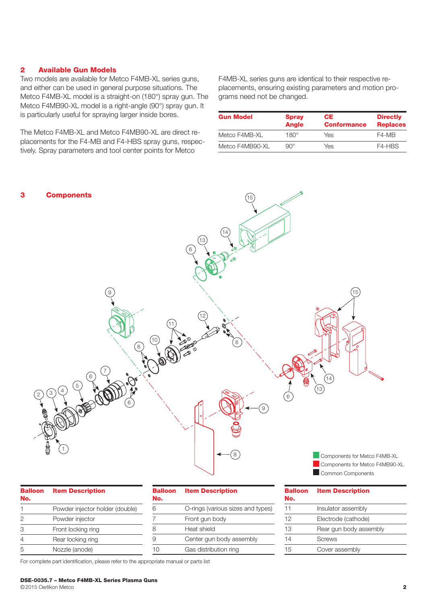#### 2 Available Gun Models

Two models are available for Metco F4MB-XL series guns, and either can be used in general purpose situations. The Metco F4MB-XL model is a straight-on (180°) spray gun. The Metco F4MB90-XL model is a right-angle (90°) spray gun. It is particularly useful for spraying larger inside bores.

The Metco F4MB-XL and Metco F4MB90-XL are direct replacements for the F4-MB and F4-HBS spray guns, respectively. Spray parameters and tool center points for Metco

F4MB-XL series guns are identical to their respective replacements, ensuring existing parameters and motion programs need not be changed.

| <b>Gun Model</b> | <b>Spray</b><br><b>Angle</b> | CE.<br><b>Conformance</b> | <b>Directly</b><br><b>Replaces</b> |
|------------------|------------------------------|---------------------------|------------------------------------|
| Metco F4MB-XL    | $180^\circ$                  | Yes                       | F4-MB                              |
| Metco F4MB90-XL  | $90^{\circ}$                 | Yes                       | F4-HBS                             |



| <b>Balloon</b><br>No. | <b>Item Description</b>         |
|-----------------------|---------------------------------|
| 1                     | Powder injector holder (double) |
| 2                     | Powder injector                 |
| 3                     | Front locking ring              |
| 4                     | Rear locking ring               |
| 5                     | Nozzle (anode)                  |

| <b>Balloon</b> | <b>Item Description</b>           |  |
|----------------|-----------------------------------|--|
| No.            |                                   |  |
| 6              | O-rings (various sizes and types) |  |
|                | Front gun body                    |  |
| 8              | Heat shield                       |  |
| 9              | Center gun body assembly          |  |
|                | Gas distribution ring             |  |
|                |                                   |  |

| <b>Balloon</b> | <b>Item Description</b> |  |
|----------------|-------------------------|--|
| No.            |                         |  |
| 11             | Insulator assembly      |  |
| 12             | Electrode (cathode)     |  |
| 13             | Rear gun body assembly  |  |
| 14             | Screws                  |  |
| 15             | Cover assembly          |  |

For complete part identification, please refer to the appropriate manual or parts list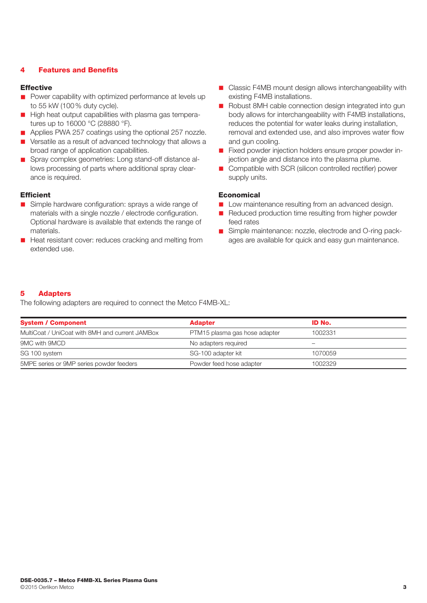# 4 Features and Benefits

#### Effective

- $\blacksquare$  Power capability with optimized performance at levels up to 55 kW (100% duty cycle).
- **n** High heat output capabilities with plasma gas temperatures up to 16000 °C (28880 °F).
- Applies PWA 257 coatings using the optional 257 nozzle.
- n Versatile as a result of advanced technology that allows a broad range of application capabilities.
- Spray complex geometries: Long stand-off distance allows processing of parts where additional spray clearance is required.

#### **Efficient**

- Simple hardware configuration: sprays a wide range of materials with a single nozzle / electrode configuration. Optional hardware is available that extends the range of materials.
- Heat resistant cover: reduces cracking and melting from extended use.
- Classic F4MB mount design allows interchangeability with existing F4MB installations.
- Robust 8MH cable connection design integrated into gun body allows for interchangeability with F4MB installations, reduces the potential for water leaks during installation, removal and extended use, and also improves water flow and gun cooling.
- Fixed powder injection holders ensure proper powder injection angle and distance into the plasma plume.
- Compatible with SCR (silicon controlled rectifier) power supply units.

#### Economical

- **n** Low maintenance resulting from an advanced design.
- Reduced production time resulting from higher powder feed rates
- Simple maintenance: nozzle, electrode and O-ring packages are available for quick and easy gun maintenance.

# 5 Adapters

The following adapters are required to connect the Metco F4MB-XL:

| <b>System / Component</b>                       | <b>Adapter</b>                | ID No.  |  |
|-------------------------------------------------|-------------------------------|---------|--|
| MultiCoat / UniCoat with 8MH and current JAMBox | PTM15 plasma gas hose adapter | 1002331 |  |
| 9MC with 9MCD                                   | No adapters required          |         |  |
| SG 100 system                                   | SG-100 adapter kit            | 1070059 |  |
| 5MPE series or 9MP series powder feeders        | Powder feed hose adapter      | 1002329 |  |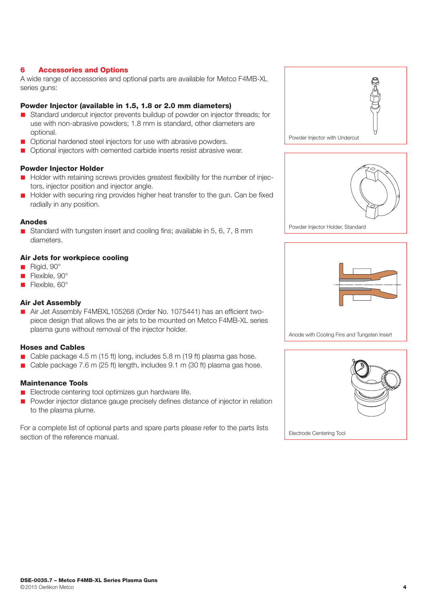# 6 Accessories and Options

A wide range of accessories and optional parts are available for Metco F4MB-XL series guns:

# Powder Injector (available in 1.5, 1.8 or 2.0 mm diameters)

- n Standard undercut injector prevents buildup of powder on injector threads; for use with non-abrasive powders; 1.8 mm is standard, other diameters are optional.
- **n** Optional hardened steel injectors for use with abrasive powders.
- n Optional injectors with cemented carbide inserts resist abrasive wear.

# Powder Injector Holder

- Holder with retaining screws provides greatest flexibility for the number of injectors, injector position and injector angle.
- Holder with securing ring provides higher heat transfer to the gun. Can be fixed radially in any position.

# Anodes

Standard with tungsten insert and cooling fins; available in 5, 6, 7, 8 mm diameters.

# Air Jets for workpiece cooling

- Rigid, 90°
- Flexible, 90°
- Flexible, 60°

# Air Jet Assembly

■ Air Jet Assembly F4MBXL105268 (Order No. 1075441) has an efficient twopiece design that allows the air jets to be mounted on Metco F4MB-XL series plasma guns without removal of the injector holder.

# Hoses and Cables

- Cable package 4.5 m (15 ft) long, includes 5.8 m (19 ft) plasma gas hose.
- Cable package 7.6 m (25 ft) length, includes 9.1 m (30 ft) plasma gas hose.

# Maintenance Tools

- Electrode centering tool optimizes gun hardware life.
- **n** Powder injector distance gauge precisely defines distance of injector in relation to the plasma plume.

For a complete list of optional parts and spare parts please refer to the parts lists section of the reference manual.





Powder Injector Holder, Standard



Anode with Cooling Fins and Tungsten Insert

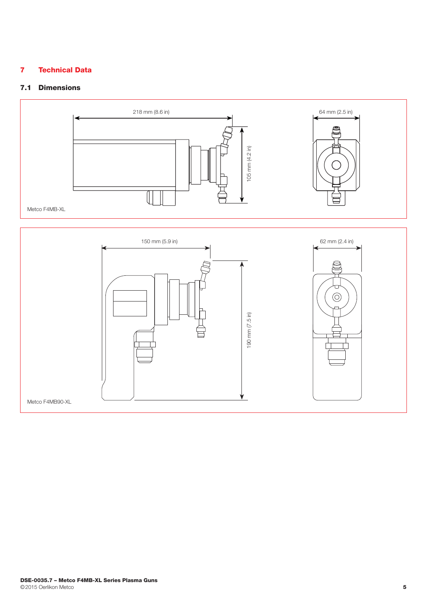# 7 Technical Data

# 7.1 Dimensions